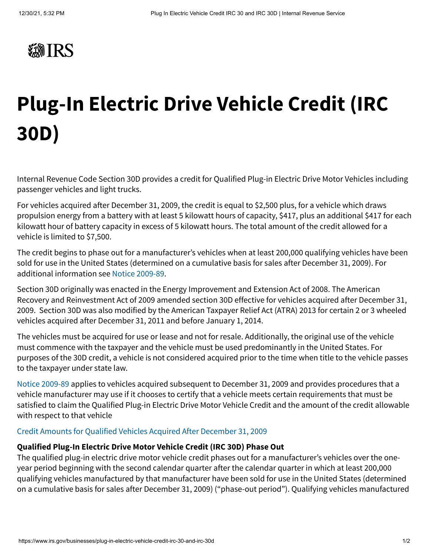

## **Plug-In Electric Drive Vehicle Credit (IRC 30D)**

Internal Revenue Code Section 30D provides a credit for Qualified Plug-in Electric Drive Motor Vehicles including passenger vehicles and light trucks.

For vehicles acquired after December 31, 2009, the credit is equal to \$2,500 plus, for a vehicle which draws propulsion energy from a battery with at least 5 kilowatt hours of capacity, \$417, plus an additional \$417 for each kilowatt hour of battery capacity in excess of 5 kilowatt hours. The total amount of the credit allowed for a vehicle is limited to \$7,500.

The credit begins to phase out for a manufacturer's vehicles when at least 200,000 qualifying vehicles have been sold for use in the United States (determined on a cumulative basis for sales after December 31, 2009). For additional information see [Notice 2009-89](https://www.irs.gov/irb/2009-48_IRB).

Section 30D originally was enacted in the Energy Improvement and Extension Act of 2008. The American Recovery and Reinvestment Act of 2009 amended section 30D effective for vehicles acquired after December 31, 2009. Section 30D was also modified by the American Taxpayer Relief Act (ATRA) 2013 for certain 2 or 3 wheeled vehicles acquired after December 31, 2011 and before January 1, 2014.

The vehicles must be acquired for use or lease and not for resale. Additionally, the original use of the vehicle must commence with the taxpayer and the vehicle must be used predominantly in the United States. For purposes of the 30D credit, a vehicle is not considered acquired prior to the time when title to the vehicle passes to the taxpayer under state law.

[Notice 2009-89](https://www.irs.gov/irb/2009-48_IRB) applies to vehicles acquired subsequent to December 31, 2009 and provides procedures that a vehicle manufacturer may use if it chooses to certify that a vehicle meets certain requirements that must be satisfied to claim the Qualified Plug-in Electric Drive Motor Vehicle Credit and the amount of the credit allowable with respect to that vehicle

## [Credit Amounts for Qualified Vehicles Acquired After December 31, 2009](https://www.irs.gov/businesses/irc-30d-new-qualified-plug-in-electric-drive-motor-vehicle-credit)

## **Qualified Plug-In Electric Drive Motor Vehicle Credit (IRC 30D) Phase Out**

The qualified plug-in electric drive motor vehicle credit phases out for a manufacturer's vehicles over the oneyear period beginning with the second calendar quarter after the calendar quarter in which at least 200,000 qualifying vehicles manufactured by that manufacturer have been sold for use in the United States (determined on a cumulative basis for sales after December 31, 2009) ("phase-out period"). Qualifying vehicles manufactured